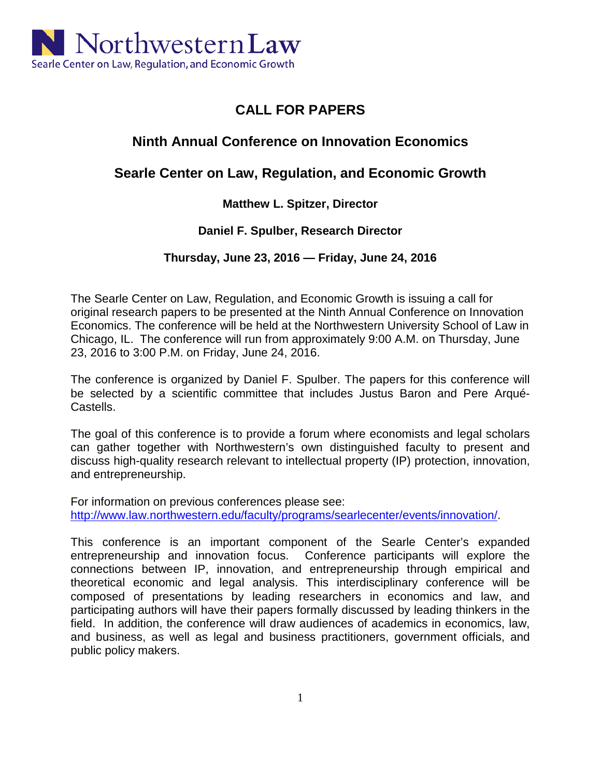

# **CALL FOR PAPERS**

# **Ninth Annual Conference on Innovation Economics**

## **Searle Center on Law, Regulation, and Economic Growth**

### **Matthew L. Spitzer, Director**

### **Daniel F. Spulber, Research Director**

### **Thursday, June 23, 2016 — Friday, June 24, 2016**

The Searle Center on Law, Regulation, and Economic Growth is issuing a call for original research papers to be presented at the Ninth Annual Conference on Innovation Economics. The conference will be held at the Northwestern University School of Law in Chicago, IL. The conference will run from approximately 9:00 A.M. on Thursday, June 23, 2016 to 3:00 P.M. on Friday, June 24, 2016.

The conference is organized by Daniel F. Spulber. The papers for this conference will be selected by a scientific committee that includes Justus Baron and Pere Arqué-Castells.

The goal of this conference is to provide a forum where economists and legal scholars can gather together with Northwestern's own distinguished faculty to present and discuss high-quality research relevant to intellectual property (IP) protection, innovation, and entrepreneurship.

For information on previous conferences please see: [http://www.law.northwestern.edu/faculty/programs/searlecenter/events/innovation/.](http://www.law.northwestern.edu/faculty/programs/searlecenter/events/innovation/)

This conference is an important component of the Searle Center's expanded entrepreneurship and innovation focus. Conference participants will explore the connections between IP, innovation, and entrepreneurship through empirical and theoretical economic and legal analysis. This interdisciplinary conference will be composed of presentations by leading researchers in economics and law, and participating authors will have their papers formally discussed by leading thinkers in the field. In addition, the conference will draw audiences of academics in economics, law, and business, as well as legal and business practitioners, government officials, and public policy makers.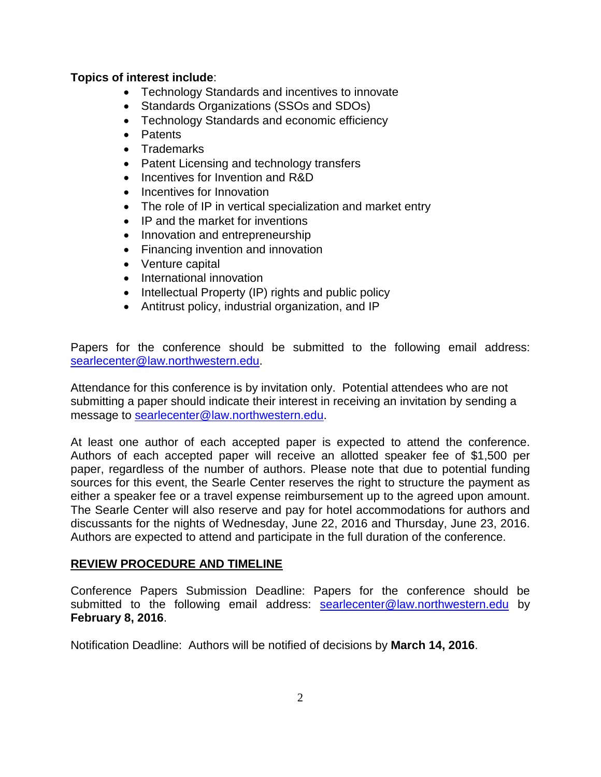#### **Topics of interest include**:

- Technology Standards and incentives to innovate
- Standards Organizations (SSOs and SDOs)
- Technology Standards and economic efficiency
- Patents
- Trademarks
- Patent Licensing and technology transfers
- Incentives for Invention and R&D
- Incentives for Innovation
- The role of IP in vertical specialization and market entry
- IP and the market for inventions
- Innovation and entrepreneurship
- Financing invention and innovation
- Venture capital
- International innovation
- Intellectual Property (IP) rights and public policy
- Antitrust policy, industrial organization, and IP

Papers for the conference should be submitted to the following email address: [searlecenter@law.northwestern.edu.](mailto:searlecenter@law.northwestern.edu)

Attendance for this conference is by invitation only. Potential attendees who are not submitting a paper should indicate their interest in receiving an invitation by sending a message to [searlecenter@law.northwestern.edu.](mailto:searlecenter@law.northwestern.edu)

At least one author of each accepted paper is expected to attend the conference. Authors of each accepted paper will receive an allotted speaker fee of \$1,500 per paper, regardless of the number of authors. Please note that due to potential funding sources for this event, the Searle Center reserves the right to structure the payment as either a speaker fee or a travel expense reimbursement up to the agreed upon amount. The Searle Center will also reserve and pay for hotel accommodations for authors and discussants for the nights of Wednesday, June 22, 2016 and Thursday, June 23, 2016. Authors are expected to attend and participate in the full duration of the conference.

#### **REVIEW PROCEDURE AND TIMELINE**

Conference Papers Submission Deadline: Papers for the conference should be submitted to the following email address: [searlecenter@law.northwestern.edu](mailto:searlecenter@law.northwestern.edu) by **February 8, 2016**.

Notification Deadline: Authors will be notified of decisions by **March 14, 2016**.